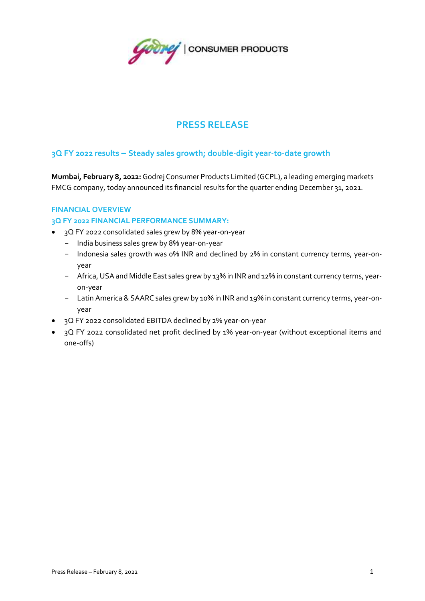

# **PRESS RELEASE**

# **3Q FY 2022 results – Steady sales growth; double-digit year-to-date growth**

**Mumbai, February 8, 2022:**Godrej Consumer Products Limited (GCPL), a leading emerging markets FMCG company, today announced its financial results for the quarter ending December 31, 2021.

## **FINANCIAL OVERVIEW**

#### **3Q FY 2022 FINANCIAL PERFORMANCE SUMMARY:**

- 3Q FY 2022 consolidated sales grew by 8% year-on-year
	- India business sales grew by 8% year-on-year
	- Indonesia sales growth was 0% INR and declined by 2% in constant currency terms, year-onyear
	- Africa, USA and Middle East sales grew by 13% in INR and 12% in constant currency terms, yearon-year
	- Latin America & SAARC sales grew by 10% in INR and 19% in constant currency terms, year-onyear
- 3Q FY 2022 consolidated EBITDA declined by 2% year-on-year
- 3Q FY 2022 consolidated net profit declined by 1% year-on-year (without exceptional items and one-offs)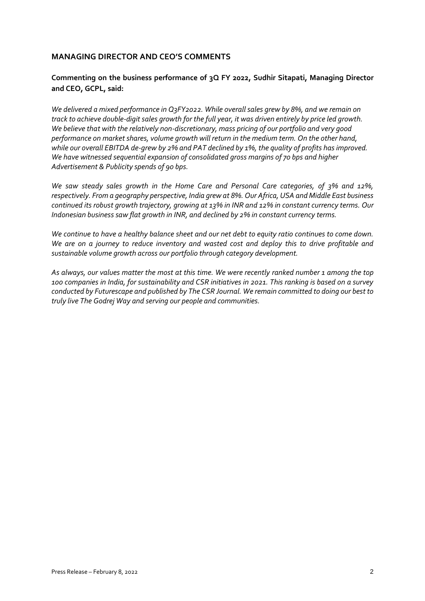# **MANAGING DIRECTOR AND CEO'S COMMENTS**

# **Commenting on the business performance of 3Q FY 2022, Sudhir Sitapati, Managing Director and CEO, GCPL, said:**

*We delivered a mixed performance in Q3FY2022. While overall sales grew by 8%, and we remain on track to achieve double-digit sales growth for the full year, it was driven entirely by price led growth. We believe that with the relatively non-discretionary, mass pricing of our portfolio and very good performance on market shares, volume growth will return in the medium term. On the other hand, while our overall EBITDA de-grew by 2% and PAT declined by 1%, the quality of profits has improved. We have witnessed sequential expansion of consolidated gross margins of 70 bps and higher Advertisement & Publicity spends of 90 bps.* 

*We saw steady sales growth in the Home Care and Personal Care categories, of 3% and 12%, respectively. From a geography perspective, India grew at 8%. Our Africa, USA and Middle East business continued its robust growth trajectory, growing at 13% in INR and 12% in constant currency terms. Our Indonesian business saw flat growth in INR, and declined by 2% in constant currency terms.*

*We continue to have a healthy balance sheet and our net debt to equity ratio continues to come down. We are on a journey to reduce inventory and wasted cost and deploy this to drive profitable and sustainable volume growth across our portfolio through category development.* 

*As always, our values matter the most at this time. We were recently ranked number 1 among the top 100 companies in India, for sustainability and CSR initiatives in 2021. This ranking is based on a survey conducted by Futurescape and published by The CSR Journal. We remain committed to doing our best to truly live The Godrej Way and serving our people and communities.*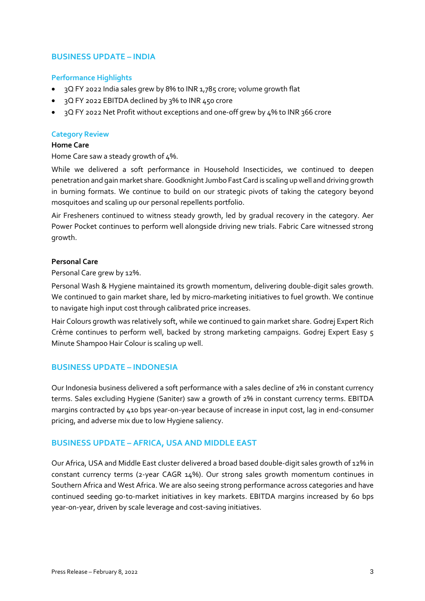# **BUSINESS UPDATE – INDIA**

## **Performance Highlights**

- 3Q FY 2022 India sales grew by 8% to INR 1,785 crore; volume growth flat
- 3Q FY 2022 EBITDA declined by 3% to INR 450 crore
- 3Q FY 2022 Net Profit without exceptions and one-off grew by 4% to INR 366 crore

#### **Category Review**

## **Home Care**

Home Care saw a steady growth of 4%.

While we delivered a soft performance in Household Insecticides, we continued to deepen penetration and gain market share. Goodknight Jumbo Fast Card is scaling up well and driving growth in burning formats. We continue to build on our strategic pivots of taking the category beyond mosquitoes and scaling up our personal repellents portfolio.

Air Fresheners continued to witness steady growth, led by gradual recovery in the category. Aer Power Pocket continues to perform well alongside driving new trials. Fabric Care witnessed strong growth.

## **Personal Care**

Personal Care grew by 12%.

Personal Wash & Hygiene maintained its growth momentum, delivering double-digit sales growth. We continued to gain market share, led by micro-marketing initiatives to fuel growth. We continue to navigate high input cost through calibrated price increases.

Hair Colours growth was relatively soft, while we continued to gain market share. Godrej Expert Rich Crème continues to perform well, backed by strong marketing campaigns. Godrej Expert Easy 5 Minute Shampoo Hair Colour is scaling up well.

## **BUSINESS UPDATE – INDONESIA**

Our Indonesia business delivered a soft performance with a sales decline of 2% in constant currency terms. Sales excluding Hygiene (Saniter) saw a growth of 2% in constant currency terms. EBITDA margins contracted by 410 bps year-on-year because of increase in input cost, lag in end-consumer pricing, and adverse mix due to low Hygiene saliency.

## **BUSINESS UPDATE – AFRICA, USA AND MIDDLE EAST**

Our Africa, USA and Middle East cluster delivered a broad based double-digit sales growth of 12% in constant currency terms (2-year CAGR 14%). Our strong sales growth momentum continues in Southern Africa and West Africa. We are also seeing strong performance across categories and have continued seeding go-to-market initiatives in key markets. EBITDA margins increased by 60 bps year-on-year, driven by scale leverage and cost-saving initiatives.